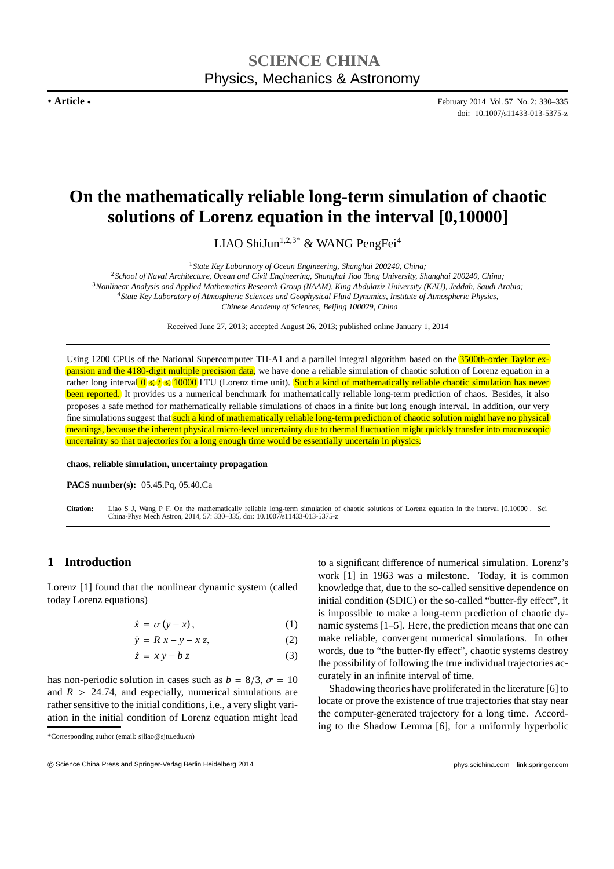**. Article .**

February 2014 Vol. 57 No. 2: 330–335 doi: 10.1007/s11433-013-5375-z

# **On the mathematically reliable long-term simulation of chaotic solutions of Lorenz equation in the interval [0,10000]**

LIAO ShiJun<sup>1,2,3\*</sup> & WANG PengFei<sup>4</sup>

<sup>1</sup>*State Key Laboratory of Ocean Engineering, Shanghai 200240, China;*

*School of Naval Architecture, Ocean and Civil Engineering, Shanghai Jiao Tong University, Shanghai 200240, China; Nonlinear Analysis and Applied Mathematics Research Group (NAAM), King Abdulaziz University (KAU), Jeddah, Saudi Arabia; State Key Laboratory of Atmospheric Sciences and Geophysical Fluid Dynamics, Institute of Atmospheric Physics, Chinese Academy of Sciences, Beijing 100029, China*

Received June 27, 2013; accepted August 26, 2013; published online January 1, 2014

Using 1200 CPUs of the National Supercomputer TH-A1 and a parallel integral algorithm based on the 3500th-order Taylor expansion and the 4180-digit multiple precision data, we have done a reliable simulation of chaotic solution of Lorenz equation in a rather long interval  $0 \le t \le 10000$  LTU (Lorenz time unit). Such a kind of mathematically reliable chaotic simulation has never been reported. It provides us a numerical benchmark for mathematically reliable long-term prediction of chaos. Besides, it also proposes a safe method for mathematically reliable simulations of chaos in a finite but long enough interval. In addition, our very fine simulations suggest that such a kind of mathematically reliable long-term prediction of chaotic solution might have no physical meanings, because the inherent physical micro-level uncertainty due to thermal fluctuation might quickly transfer into macroscopic uncertainty so that trajectories for a long enough time would be essentially uncertain in physics.

**chaos, reliable simulation, uncertainty propagation**

**PACS number(s):** 05.45.Pq, 05.40.Ca

Citation: Liao S J, Wang P F. On the mathematically reliable long-term simulation of chaotic solutions of Lorenz equation in the interval [0,10000]. Sci<br>China-Phys Mech Astron, 2014, 57: 330–335, doi: 10.1007/s11433-013-53

## **1 Introduction**

Lorenz [1] found that the nonlinear dynamic system (called today Lorenz equations)

$$
\dot{x} = \sigma(y - x),\tag{1}
$$

$$
\dot{y} = R x - y - x z,\tag{2}
$$

$$
\dot{z} = x y - b z \tag{3}
$$

has non-periodic solution in cases such as  $b = 8/3$ ,  $\sigma = 10$ and  $R > 24.74$ , and especially, numerical simulations are rather sensitive to the initial conditions, i.e., a very slight variation in the initial condition of Lorenz equation might lead to a significant difference of numerical simulation. Lorenz's work [1] in 1963 was a milestone. Today, it is common knowledge that, due to the so-called sensitive dependence on initial condition (SDIC) or the so-called "butter-fly effect", it is impossible to make a long-term prediction of chaotic dynamic systems [1–5]. Here, the prediction means that one can make reliable, convergent numerical simulations. In other words, due to "the butter-fly effect", chaotic systems destroy the possibility of following the true individual trajectories accurately in an infinite interval of time.

Shadowing theories have proliferated in the literature [6] to locate or prove the existence of true trajectories that stay near the computer-generated trajectory for a long time. According to the Shadow Lemma [6], for a uniformly hyperbolic

<sup>\*</sup>Corresponding author (email: sjliao@sjtu.edu.cn)

c Science China Press and Springer-Verlag Berlin Heidelberg 2014 phys.scichina.com link.springer.com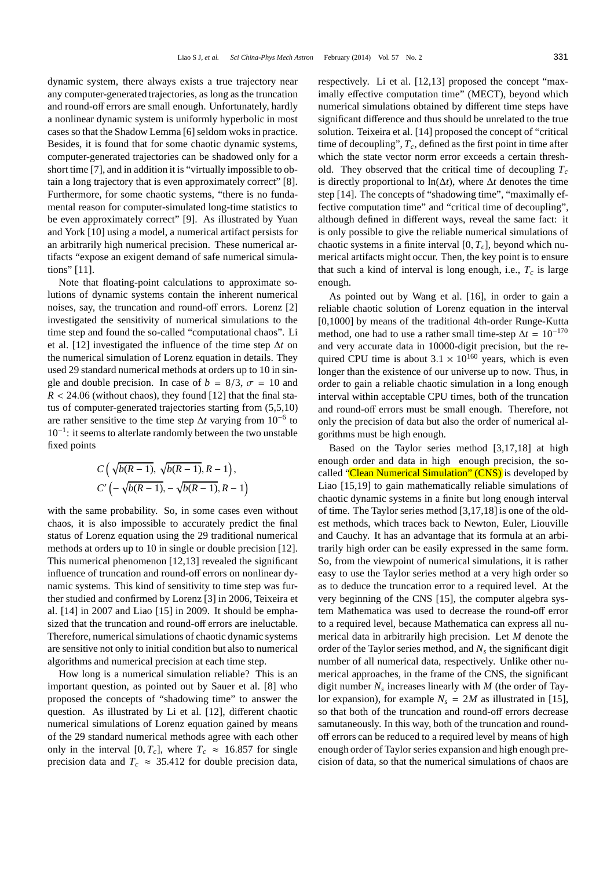dynamic system, there always exists a true trajectory near any computer-generated trajectories, as long as the truncation and round-off errors are small enough. Unfortunately, hardly a nonlinear dynamic system is uniformly hyperbolic in most cases so that the Shadow Lemma [6] seldom woks in practice. Besides, it is found that for some chaotic dynamic systems, computer-generated trajectories can be shadowed only for a short time [7], and in addition it is "virtually impossible to obtain a long trajectory that is even approximately correct" [8]. Furthermore, for some chaotic systems, "there is no fundamental reason for computer-simulated long-time statistics to be even approximately correct" [9]. As illustrated by Yuan and York [10] using a model, a numerical artifact persists for an arbitrarily high numerical precision. These numerical artifacts "expose an exigent demand of safe numerical simulations" [11].

Note that floating-point calculations to approximate solutions of dynamic systems contain the inherent numerical noises, say, the truncation and round-off errors. Lorenz [2] investigated the sensitivity of numerical simulations to the time step and found the so-called "computational chaos". Li et al. [12] investigated the influence of the time step ∆*t* on the numerical simulation of Lorenz equation in details. They used 29 standard numerical methods at orders up to 10 in single and double precision. In case of  $b = 8/3$ ,  $\sigma = 10$  and  $R < 24.06$  (without chaos), they found [12] that the final status of computer-generated trajectories starting from (5,5,10) are rather sensitive to the time step ∆*t* varying from 10−<sup>6</sup> to 10−<sup>1</sup> : it seems to alterlate randomly between the two unstable fixed points

$$
C\left(\sqrt{b(R-1)}, \sqrt{b(R-1)}, R-1\right),\
$$
  

$$
C'\left(-\sqrt{b(R-1)}, -\sqrt{b(R-1)}, R-1\right)
$$

with the same probability. So, in some cases even without chaos, it is also impossible to accurately predict the final status of Lorenz equation using the 29 traditional numerical methods at orders up to 10 in single or double precision [12]. This numerical phenomenon [12,13] revealed the significant influence of truncation and round-off errors on nonlinear dynamic systems. This kind of sensitivity to time step was further studied and confirmed by Lorenz [3] in 2006, Teixeira et al. [14] in 2007 and Liao [15] in 2009. It should be emphasized that the truncation and round-off errors are ineluctable. Therefore, numerical simulations of chaotic dynamic systems are sensitive not only to initial condition but also to numerical algorithms and numerical precision at each time step.

How long is a numerical simulation reliable? This is an important question, as pointed out by Sauer et al. [8] who proposed the concepts of "shadowing time" to answer the question. As illustrated by Li et al. [12], different chaotic numerical simulations of Lorenz equation gained by means of the 29 standard numerical methods agree with each other only in the interval [0,  $T_c$ ], where  $T_c \approx 16.857$  for single precision data and  $T_c \approx 35.412$  for double precision data,

respectively. Li et al. [12,13] proposed the concept "maximally effective computation time" (MECT), beyond which numerical simulations obtained by different time steps have significant difference and thus should be unrelated to the true solution. Teixeira et al. [14] proposed the concept of "critical time of decoupling", *Tc*, defined as the first point in time after which the state vector norm error exceeds a certain threshold. They observed that the critical time of decoupling *T<sup>c</sup>* is directly proportional to ln(∆*t*), where ∆*t* denotes the time step [14]. The concepts of "shadowing time", "maximally effective computation time" and "critical time of decoupling", although defined in different ways, reveal the same fact: it is only possible to give the reliable numerical simulations of chaotic systems in a finite interval [0, *Tc*], beyond which numerical artifacts might occur. Then, the key point is to ensure that such a kind of interval is long enough, i.e.,  $T_c$  is large enough.

As pointed out by Wang et al. [16], in order to gain a reliable chaotic solution of Lorenz equation in the interval [0,1000] by means of the traditional 4th-order Runge-Kutta method, one had to use a rather small time-step  $\Delta t = 10^{-170}$ and very accurate data in 10000-digit precision, but the required CPU time is about  $3.1 \times 10^{160}$  years, which is even longer than the existence of our universe up to now. Thus, in order to gain a reliable chaotic simulation in a long enough interval within acceptable CPU times, both of the truncation and round-off errors must be small enough. Therefore, not only the precision of data but also the order of numerical algorithms must be high enough.

Based on the Taylor series method [3,17,18] at high enough order and data in high enough precision, the socalled "Clean Numerical Simulation" (CNS) is developed by Liao [15,19] to gain mathematically reliable simulations of chaotic dynamic systems in a finite but long enough interval of time. The Taylor series method [3,17,18] is one of the oldest methods, which traces back to Newton, Euler, Liouville and Cauchy. It has an advantage that its formula at an arbitrarily high order can be easily expressed in the same form. So, from the viewpoint of numerical simulations, it is rather easy to use the Taylor series method at a very high order so as to deduce the truncation error to a required level. At the very beginning of the CNS [15], the computer algebra system Mathematica was used to decrease the round-off error to a required level, because Mathematica can express all numerical data in arbitrarily high precision. Let *M* denote the order of the Taylor series method, and *N<sup>s</sup>* the significant digit number of all numerical data, respectively. Unlike other numerical approaches, in the frame of the CNS, the significant digit number  $N_s$  increases linearly with  $M$  (the order of Taylor expansion), for example  $N_s = 2M$  as illustrated in [15], so that both of the truncation and round-off errors decrease samutaneously. In this way, both of the truncation and roundoff errors can be reduced to a required level by means of high enough order of Taylor series expansion and high enough precision of data, so that the numerical simulations of chaos are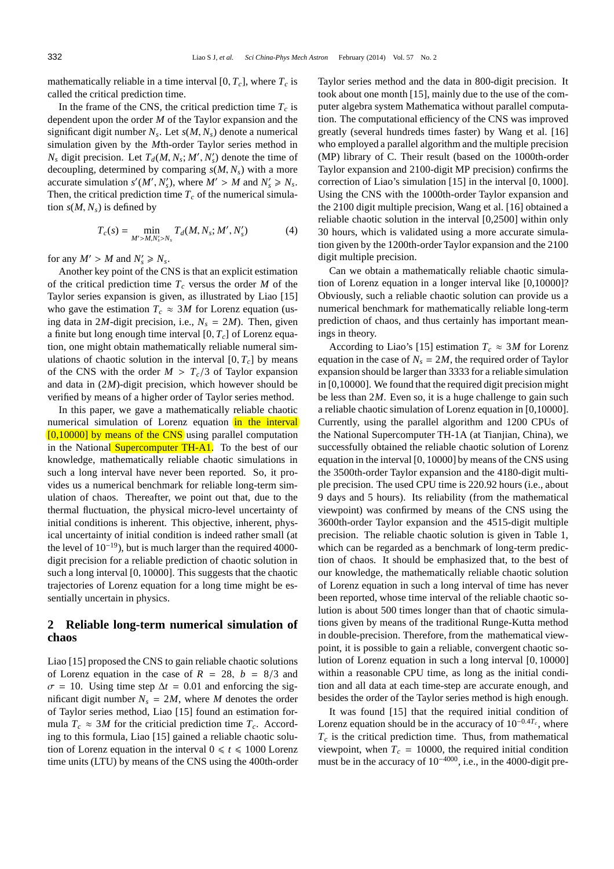mathematically reliable in a time interval  $[0, T_c]$ , where  $T_c$  is called the critical prediction time.

In the frame of the CNS, the critical prediction time  $T_c$  is dependent upon the order *M* of the Taylor expansion and the significant digit number *N<sup>s</sup>* . Let *s*(*M*, *Ns*) denote a numerical simulation given by the *M*th-order Taylor series method in  $N_s$  digit precision. Let  $T_d(M, N_s; M', N'_s)$  denote the time of decoupling, determined by comparing *s*(*M*, *Ns*) with a more accurate simulation  $s'(M', N'_{s})$ , where  $M' > M$  and  $N'_{s} \ge N_{s}$ . Then, the critical prediction time  $T_c$  of the numerical simulation  $s(M, N_s)$  is defined by

$$
T_c(s) = \min_{M' > M, N'_s > N_s} T_d(M, N_s; M', N'_s)
$$
(4)

for any  $M' > M$  and  $N'_s \ge N_s$ .

Another key point of the CNS is that an explicit estimation of the critical prediction time *T<sup>c</sup>* versus the order *M* of the Taylor series expansion is given, as illustrated by Liao [15] who gave the estimation  $T_c \approx 3M$  for Lorenz equation (using data in 2*M*-digit precision, i.e.,  $N_s = 2M$ ). Then, given a finite but long enough time interval [0, *Tc*] of Lorenz equation, one might obtain mathematically reliable numeral simulations of chaotic solution in the interval  $[0, T_c]$  by means of the CNS with the order  $M > T_c/3$  of Taylor expansion and data in (2*M*)-digit precision, which however should be verified by means of a higher order of Taylor series method.

In this paper, we gave a mathematically reliable chaotic numerical simulation of Lorenz equation in the interval  $[0,10000]$  by means of the CNS using parallel computation in the National Supercomputer TH-A1. To the best of our knowledge, mathematically reliable chaotic simulations in such a long interval have never been reported. So, it provides us a numerical benchmark for reliable long-term simulation of chaos. Thereafter, we point out that, due to the thermal fluctuation, the physical micro-level uncertainty of initial conditions is inherent. This objective, inherent, physical uncertainty of initial condition is indeed rather small (at the level of  $10^{-19}$ ), but is much larger than the required 4000digit precision for a reliable prediction of chaotic solution in such a long interval [0, 10000]. This suggests that the chaotic trajectories of Lorenz equation for a long time might be essentially uncertain in physics.

### **2 Reliable long-term numerical simulation of chaos**

Liao [15] proposed the CNS to gain reliable chaotic solutions of Lorenz equation in the case of  $R = 28$ ,  $b = 8/3$  and  $\sigma = 10$ . Using time step  $\Delta t = 0.01$  and enforcing the significant digit number  $N_s = 2M$ , where *M* denotes the order of Taylor series method, Liao [15] found an estimation formula  $T_c \approx 3M$  for the criticial prediction time  $T_c$ . According to this formula, Liao [15] gained a reliable chaotic solution of Lorenz equation in the interval  $0 \le t \le 1000$  Lorenz time units (LTU) by means of the CNS using the 400th-order

Taylor series method and the data in 800-digit precision. It took about one month [15], mainly due to the use of the computer algebra system Mathematica without parallel computation. The computational efficiency of the CNS was improved greatly (several hundreds times faster) by Wang et al. [16] who employed a parallel algorithm and the multiple precision (MP) library of C. Their result (based on the 1000th-order Taylor expansion and 2100-digit MP precision) confirms the correction of Liao's simulation [15] in the interval [0, 1000]. Using the CNS with the 1000th-order Taylor expansion and the 2100 digit multiple precision, Wang et al. [16] obtained a reliable chaotic solution in the interval [0,2500] within only 30 hours, which is validated using a more accurate simulation given by the 1200th-order Taylor expansion and the 2100 digit multiple precision.

Can we obtain a mathematically reliable chaotic simulation of Lorenz equation in a longer interval like [0,10000]? Obviously, such a reliable chaotic solution can provide us a numerical benchmark for mathematically reliable long-term prediction of chaos, and thus certainly has important meanings in theory.

According to Liao's [15] estimation  $T_c \approx 3M$  for Lorenz equation in the case of  $N_s = 2M$ , the required order of Taylor expansion should be larger than 3333 for a reliable simulation in [0,10000]. We found that the required digit precision might be less than 2*M*. Even so, it is a huge challenge to gain such a reliable chaotic simulation of Lorenz equation in [0,10000]. Currently, using the parallel algorithm and 1200 CPUs of the National Supercomputer TH-1A (at Tianjian, China), we successfully obtained the reliable chaotic solution of Lorenz equation in the interval [0, 10000] by means of the CNS using the 3500th-order Taylor expansion and the 4180-digit multiple precision. The used CPU time is 220.92 hours (i.e., about 9 days and 5 hours). Its reliability (from the mathematical viewpoint) was confirmed by means of the CNS using the 3600th-order Taylor expansion and the 4515-digit multiple precision. The reliable chaotic solution is given in Table 1, which can be regarded as a benchmark of long-term prediction of chaos. It should be emphasized that, to the best of our knowledge, the mathematically reliable chaotic solution of Lorenz equation in such a long interval of time has never been reported, whose time interval of the reliable chaotic solution is about 500 times longer than that of chaotic simulations given by means of the traditional Runge-Kutta method in double-precision. Therefore, from the mathematical viewpoint, it is possible to gain a reliable, convergent chaotic solution of Lorenz equation in such a long interval [0, 10000] within a reasonable CPU time, as long as the initial condition and all data at each time-step are accurate enough, and besides the order of the Taylor series method is high enough.

It was found [15] that the required initial condition of Lorenz equation should be in the accuracy of 10<sup>−</sup>0.4*T<sup>c</sup>* , where  $T_c$  is the critical prediction time. Thus, from mathematical viewpoint, when  $T_c = 10000$ , the required initial condition must be in the accuracy of 10<sup>−</sup>4000, i.e., in the 4000-digit pre-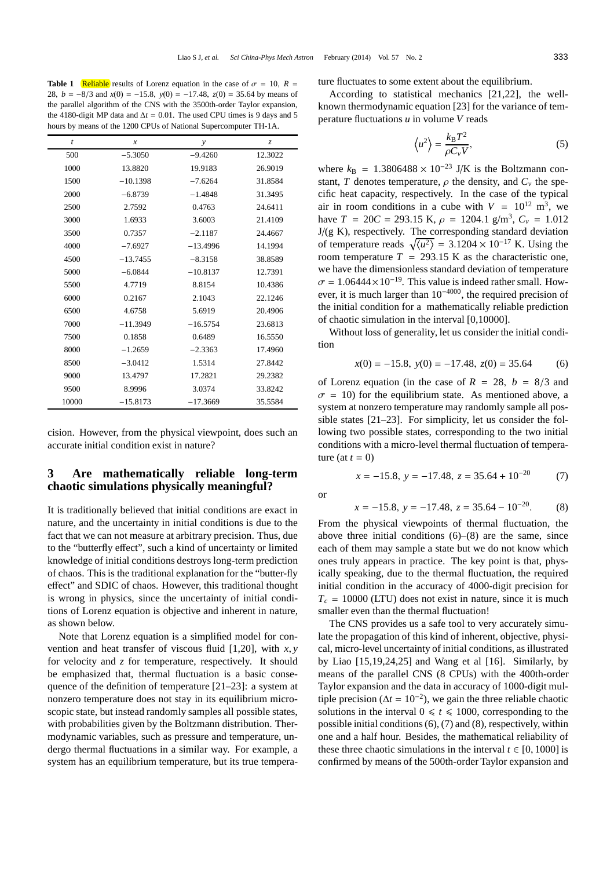**Table 1** Reliable results of Lorenz equation in the case of  $\sigma = 10$ ,  $R =$ 28, *b* = −8/3 and *x*(0) = −15.8, *y*(0) = −17.48, *z*(0) = 35.64 by means of the parallel algorithm of the CNS with the 3500th-order Taylor expansion, the 4180-digit MP data and  $\Delta t = 0.01$ . The used CPU times is 9 days and 5 hours by means of the 1200 CPUs of National Supercomputer TH-1A.

| $\boldsymbol{t}$ | $\boldsymbol{x}$ | y          | $\mathcal{Z}$ |
|------------------|------------------|------------|---------------|
| 500              | $-5.3050$        | $-9.4260$  | 12.3022       |
| 1000             | 13.8820          | 19.9183    | 26.9019       |
| 1500             | $-10.1398$       | $-7.6264$  | 31.8584       |
| 2000             | $-6.8739$        | $-1.4848$  | 31.3495       |
| 2500             | 2.7592           | 0.4763     | 24.6411       |
| 3000             | 1.6933           | 3.6003     | 21.4109       |
| 3500             | 0.7357           | $-2.1187$  | 24.4667       |
| 4000             | $-7.6927$        | $-13.4996$ | 14.1994       |
| 4500             | $-13.7455$       | $-8.3158$  | 38.8589       |
| 5000             | $-6.0844$        | $-10.8137$ | 12.7391       |
| 5500             | 4.7719           | 8.8154     | 10.4386       |
| 6000             | 0.2167           | 2.1043     | 22.1246       |
| 6500             | 4.6758           | 5.6919     | 20.4906       |
| 7000             | $-11.3949$       | $-16.5754$ | 23.6813       |
| 7500             | 0.1858           | 0.6489     | 16.5550       |
| 8000             | $-1.2659$        | $-2.3363$  | 17.4960       |
| 8500             | $-3.0412$        | 1.5314     | 27.8442       |
| 9000             | 13.4797          | 17.2821    | 29.2382       |
| 9500             | 8.9996           | 3.0374     | 33.8242       |
| 10000            | $-15.8173$       | $-17.3669$ | 35.5584       |

cision. However, from the physical viewpoint, does such an accurate initial condition exist in nature?

### **3 Are mathematically reliable long-term chaotic simulations physically meaningful?**

It is traditionally believed that initial conditions are exact in nature, and the uncertainty in initial conditions is due to the fact that we can not measure at arbitrary precision. Thus, due to the "butterfly effect", such a kind of uncertainty or limited knowledge of initial conditions destroys long-term prediction of chaos. This is the traditional explanation for the "butter-fly effect" and SDIC of chaos. However, this traditional thought is wrong in physics, since the uncertainty of initial conditions of Lorenz equation is objective and inherent in nature, as shown below.

Note that Lorenz equation is a simplified model for convention and heat transfer of viscous fluid [1,20], with *x*, *y* for velocity and *z* for temperature, respectively. It should be emphasized that, thermal fluctuation is a basic consequence of the definition of temperature [21–23]: a system at nonzero temperature does not stay in its equilibrium microscopic state, but instead randomly samples all possible states, with probabilities given by the Boltzmann distribution. Thermodynamic variables, such as pressure and temperature, undergo thermal fluctuations in a similar way. For example, a system has an equilibrium temperature, but its true temperature fluctuates to some extent about the equilibrium.

According to statistical mechanics [21,22], the wellknown thermodynamic equation [23] for the variance of temperature fluctuations *u* in volume *V* reads

$$
\left\langle u^2 \right\rangle = \frac{k_\text{B} T^2}{\rho C_v V},\tag{5}
$$

where  $k_B = 1.3806488 \times 10^{-23}$  J/K is the Boltzmann constant, *T* denotes temperature,  $\rho$  the density, and  $C_v$  the specific heat capacity, respectively. In the case of the typical air in room conditions in a cube with  $V = 10^{12}$  m<sup>3</sup>, we have  $T = 20C = 293.15$  K,  $\rho = 1204.1$  g/m<sup>3</sup>,  $C_v = 1.012$ J/(g K), respectively. The corresponding standard deviation of temperature reads  $\sqrt{\langle u^2 \rangle} = 3.1204 \times 10^{-17}$  K. Using the room temperature  $T = 293.15$  K as the characteristic one, we have the dimensionless standard deviation of temperature  $\sigma = 1.06444 \times 10^{-19}$ . This value is indeed rather small. However, it is much larger than 10<sup>−</sup>4000, the required precision of the initial condition for a mathematically reliable prediction of chaotic simulation in the interval [0,10000].

Without loss of generality, let us consider the initial condition

$$
x(0) = -15.8, y(0) = -17.48, z(0) = 35.64
$$
 (6)

of Lorenz equation (in the case of  $R = 28$ ,  $b = 8/3$  and  $\sigma = 10$ ) for the equilibrium state. As mentioned above, a system at nonzero temperature may randomly sample all possible states [21–23]. For simplicity, let us consider the following two possible states, corresponding to the two initial conditions with a micro-level thermal fluctuation of temperature (at  $t = 0$ )

$$
x = -15.8, \ y = -17.48, \ z = 35.64 + 10^{-20} \tag{7}
$$

or

$$
x = -15.8
$$
,  $y = -17.48$ ,  $z = 35.64 - 10^{-20}$ . (8)

From the physical viewpoints of thermal fluctuation, the above three initial conditions  $(6)$ – $(8)$  are the same, since each of them may sample a state but we do not know which ones truly appears in practice. The key point is that, physically speaking, due to the thermal fluctuation, the required initial condition in the accuracy of 4000-digit precision for  $T_c = 10000$  (LTU) does not exist in nature, since it is much smaller even than the thermal fluctuation!

The CNS provides us a safe tool to very accurately simulate the propagation of this kind of inherent, objective, physical, micro-level uncertainty of initial conditions, as illustrated by Liao [15,19,24,25] and Wang et al [16]. Similarly, by means of the parallel CNS (8 CPUs) with the 400th-order Taylor expansion and the data in accuracy of 1000-digit multiple precision ( $\Delta t = 10^{-2}$ ), we gain the three reliable chaotic solutions in the interval  $0 \le t \le 1000$ , corresponding to the possible initial conditions (6), (7) and (8), respectively, within one and a half hour. Besides, the mathematical reliability of these three chaotic simulations in the interval  $t \in [0, 1000]$  is confirmed by means of the 500th-order Taylor expansion and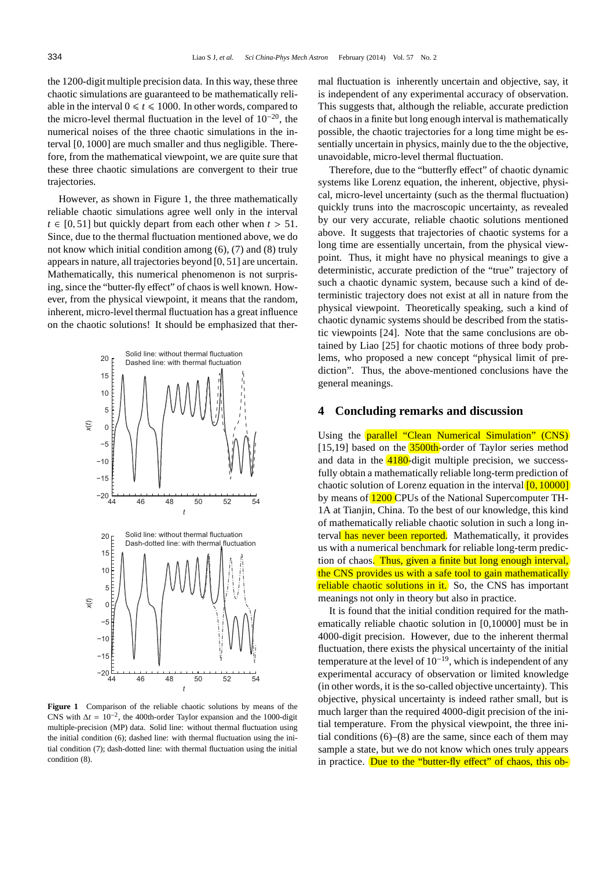the 1200-digit multiple precision data. In this way, these three chaotic simulations are guaranteed to be mathematically reliable in the interval  $0 \le t \le 1000$ . In other words, compared to the micro-level thermal fluctuation in the level of  $10^{-20}$ , the numerical noises of the three chaotic simulations in the interval [0, 1000] are much smaller and thus negligible. Therefore, from the mathematical viewpoint, we are quite sure that these three chaotic simulations are convergent to their true trajectories.

However, as shown in Figure 1, the three mathematically reliable chaotic simulations agree well only in the interval  $t \in [0, 51]$  but quickly depart from each other when  $t > 51$ . Since, due to the thermal fluctuation mentioned above, we do not know which initial condition among (6), (7) and (8) truly appears in nature, all trajectories beyond [0, 51] are uncertain. Mathematically, this numerical phenomenon is not surprising, since the "butter-fly effect" of chaos is well known. However, from the physical viewpoint, it means that the random, inherent, micro-level thermal fluctuation has a great influence on the chaotic solutions! It should be emphasized that ther-



**Figure 1** Comparison of the reliable chaotic solutions by means of the CNS with  $\Delta t = 10^{-2}$ , the 400th-order Taylor expansion and the 1000-digit multiple-precision (MP) data. Solid line: without thermal fluctuation using the initial condition (6); dashed line: with thermal fluctuation using the initial condition (7); dash-dotted line: with thermal fluctuation using the initial condition (8).

mal fluctuation is inherently uncertain and objective, say, it is independent of any experimental accuracy of observation. This suggests that, although the reliable, accurate prediction of chaos in a finite but long enough interval is mathematically possible, the chaotic trajectories for a long time might be essentially uncertain in physics, mainly due to the the objective, unavoidable, micro-level thermal fluctuation.

Therefore, due to the "butterfly effect" of chaotic dynamic systems like Lorenz equation, the inherent, objective, physical, micro-level uncertainty (such as the thermal fluctuation) quickly truns into the macroscopic uncertainty, as revealed by our very accurate, reliable chaotic solutions mentioned above. It suggests that trajectories of chaotic systems for a long time are essentially uncertain, from the physical viewpoint. Thus, it might have no physical meanings to give a deterministic, accurate prediction of the "true" trajectory of such a chaotic dynamic system, because such a kind of deterministic trajectory does not exist at all in nature from the physical viewpoint. Theoretically speaking, such a kind of chaotic dynamic systems should be described from the statistic viewpoints [24]. Note that the same conclusions are obtained by Liao [25] for chaotic motions of three body problems, who proposed a new concept "physical limit of prediction". Thus, the above-mentioned conclusions have the general meanings.

#### **4 Concluding remarks and discussion**

Using the **parallel "Clean Numerical Simulation" (CNS)** [15,19] based on the **3500th-**order of Taylor series method and data in the 4180-digit multiple precision, we successfully obtain a mathematically reliable long-term prediction of chaotic solution of Lorenz equation in the interval  $[0, 10000]$ by means of **1200** CPUs of the National Supercomputer TH-1A at Tianjin, China. To the best of our knowledge, this kind of mathematically reliable chaotic solution in such a long interval has never been reported. Mathematically, it provides us with a numerical benchmark for reliable long-term prediction of chaos. Thus, given a finite but long enough interval, the CNS provides us with a safe tool to gain mathematically reliable chaotic solutions in it. So, the CNS has important meanings not only in theory but also in practice.

It is found that the initial condition required for the mathematically reliable chaotic solution in [0,10000] must be in 4000-digit precision. However, due to the inherent thermal fluctuation, there exists the physical uncertainty of the initial temperature at the level of  $10^{-19}$ , which is independent of any experimental accuracy of observation or limited knowledge (in other words, it is the so-called objective uncertainty). This objective, physical uncertainty is indeed rather small, but is much larger than the required 4000-digit precision of the initial temperature. From the physical viewpoint, the three initial conditions  $(6)$ – $(8)$  are the same, since each of them may sample a state, but we do not know which ones truly appears in practice. Due to the "butter-fly effect" of chaos, this ob